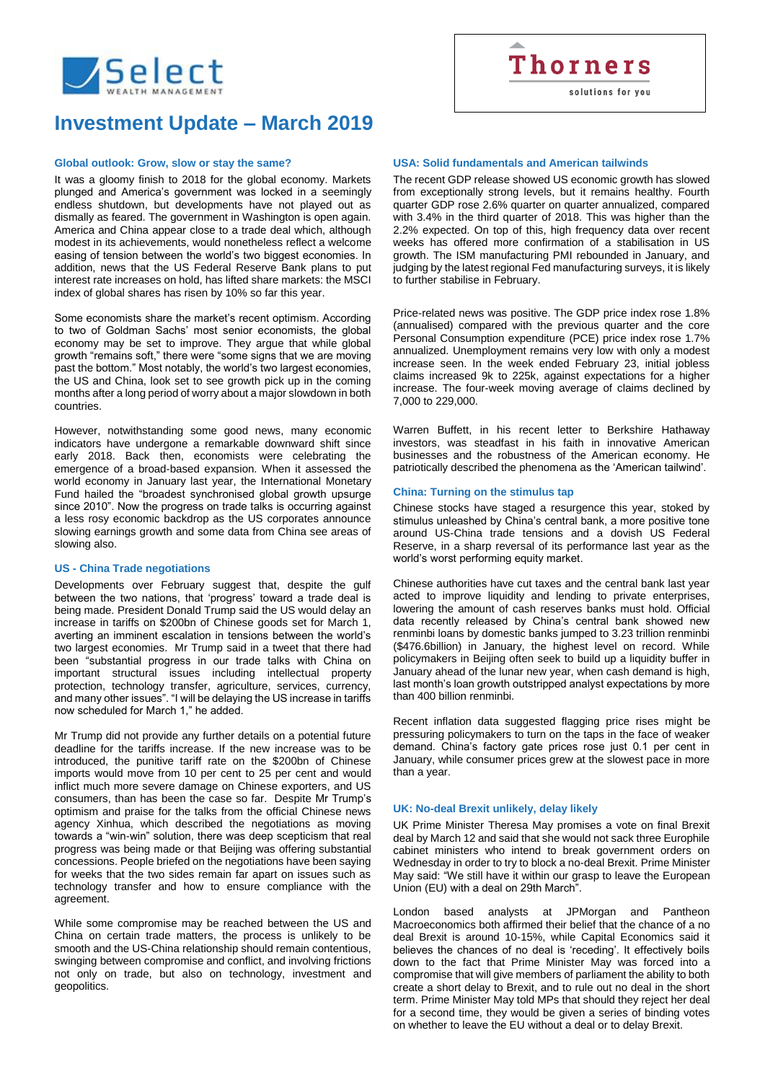

solutions for you

# **Investment Update – March 2019**

## **Global outlook: Grow, slow or stay the same?**

It was a gloomy finish to 2018 for the global economy. Markets plunged and America's government was locked in a seemingly endless shutdown, but developments have not played out as dismally as feared. The government in Washington is open again. America and China appear close to a trade deal which, although modest in its achievements, would nonetheless reflect a welcome easing of tension between the world's two biggest economies. In addition, news that the US Federal Reserve Bank plans to put interest rate increases on hold, has lifted share markets: the MSCI index of global shares has risen by 10% so far this year.

Some economists share the market's recent optimism. According to two of Goldman Sachs' most senior economists, the global economy may be set to improve. They argue that while global growth "remains soft," there were "some signs that we are moving past the bottom." Most notably, the world's two largest economies. the US and China, look set to see growth pick up in the coming months after a long period of worry about a major slowdown in both countries.

However, notwithstanding some good news, many economic indicators have undergone a remarkable downward shift since early 2018. Back then, economists were celebrating the emergence of a broad-based expansion. When it assessed the world economy in January last year, the International Monetary Fund hailed the "broadest synchronised global growth upsurge since 2010". Now the progress on trade talks is occurring against a less rosy economic backdrop as the US corporates announce slowing earnings growth and some data from China see areas of slowing also.

## **US - China Trade negotiations**

Developments over February suggest that, despite the gulf between the two nations, that 'progress' toward a trade deal is being made. President Donald Trump said the US would delay an increase in tariffs on \$200bn of Chinese goods set for March 1, averting an imminent escalation in tensions between the world's two largest economies. Mr Trump said in a tweet that there had been "substantial progress in our trade talks with China on important structural issues including intellectual property protection, technology transfer, agriculture, services, currency, and many other issues". "I will be delaying the US increase in tariffs now scheduled for March 1," he added.

Mr Trump did not provide any further details on a potential future deadline for the tariffs increase. If the new increase was to be introduced, the punitive tariff rate on the \$200bn of Chinese imports would move from 10 per cent to 25 per cent and would inflict much more severe damage on Chinese exporters, and US consumers, than has been the case so far. Despite Mr Trump's optimism and praise for the talks from the official Chinese news agency Xinhua, which described the negotiations as moving towards a "win-win" solution, there was deep scepticism that real progress was being made or that Beijing was offering substantial concessions. People briefed on the negotiations have been saying for weeks that the two sides remain far apart on issues such as technology transfer and how to ensure compliance with the agreement.

While some compromise may be reached between the US and China on certain trade matters, the process is unlikely to be smooth and the US-China relationship should remain contentious, swinging between compromise and conflict, and involving frictions not only on trade, but also on technology, investment and geopolitics.

### **USA: Solid fundamentals and American tailwinds**

The recent GDP release showed US economic growth has slowed from exceptionally strong levels, but it remains healthy. Fourth quarter GDP rose 2.6% quarter on quarter annualized, compared with 3.4% in the third quarter of 2018. This was higher than the 2.2% expected. On top of this, high frequency data over recent weeks has offered more confirmation of a stabilisation in US growth. The ISM manufacturing PMI rebounded in January, and judging by the latest regional Fed manufacturing surveys, it is likely to further stabilise in February.

Price-related news was positive. The GDP price index rose 1.8% (annualised) compared with the previous quarter and the core Personal Consumption expenditure (PCE) price index rose 1.7% annualized. Unemployment remains very low with only a modest increase seen. In the week ended February 23, initial jobless claims increased 9k to 225k, against expectations for a higher increase. The four-week moving average of claims declined by 7,000 to 229,000.

Warren Buffett, in his recent letter to Berkshire Hathaway investors, was steadfast in his faith in innovative American businesses and the robustness of the American economy. He patriotically described the phenomena as the 'American tailwind'.

#### **China: Turning on the stimulus tap**

Chinese stocks have staged a resurgence this year, stoked by stimulus unleashed by China's central bank, a more positive tone around US-China trade tensions and a dovish US Federal Reserve, in a sharp reversal of its performance last year as the world's worst performing equity market.

Chinese authorities have cut taxes and the central bank last year acted to improve liquidity and lending to private enterprises, lowering the amount of cash reserves banks must hold. Official data recently released by China's central bank showed new renminbi loans by domestic banks jumped to 3.23 trillion renminbi (\$476.6billion) in January, the highest level on record. While policymakers in Beijing often seek to build up a liquidity buffer in January ahead of the lunar new year, when cash demand is high, last month's loan growth outstripped analyst expectations by more than 400 billion renminbi.

Recent inflation data suggested flagging price rises might be pressuring policymakers to turn on the taps in the face of weaker demand. China's factory gate prices rose just 0.1 per cent in January, while consumer prices grew at the slowest pace in more than a year.

#### **UK: No-deal Brexit unlikely, delay likely**

UK Prime Minister Theresa May promises a vote on final Brexit deal by March 12 and said that she would not sack three Europhile cabinet ministers who intend to break government orders on Wednesday in order to try to block a no-deal Brexit. Prime Minister May said: "We still have it within our grasp to leave the European Union (EU) with a deal on 29th March".

London based analysts at JPMorgan and Pantheon Macroeconomics both affirmed their belief that the chance of a no deal Brexit is around 10-15%, while Capital Economics said it believes the chances of no deal is 'receding'. It effectively boils down to the fact that Prime Minister May was forced into a compromise that will give members of parliament the ability to both create a short delay to Brexit, and to rule out no deal in the short term. Prime Minister May told MPs that should they reject her deal for a second time, they would be given a series of binding votes on whether to leave the EU without a deal or to delay Brexit.